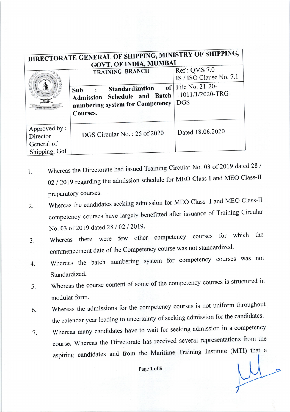| DIRECTORATE GENERAL OF SHIPPING, MINISTRY OF SHIPPING,<br><b>GOVT. OF INDIA, MUMBAI</b> |                                                                                                                                    |                                                                                                    |
|-----------------------------------------------------------------------------------------|------------------------------------------------------------------------------------------------------------------------------------|----------------------------------------------------------------------------------------------------|
|                                                                                         | <b>TRAINING BRANCH</b><br>Standardization<br>Sub<br>Schedule and Batch<br>Admission<br>numbering system for Competency<br>Courses. | Ref: QMS 7.0<br>IS / ISO Clause No. 7.1<br>of   File No. 21-20-<br>11011/1/2020-TRG-<br><b>DGS</b> |
| Approved by:<br>Director<br>General of<br>Shipping, GoI                                 | DGS Circular No.: 25 of 2020                                                                                                       | Dated 18.06.2020                                                                                   |

- 1. Whereas the Directorate had issued Training Circular No. 03 of 2019 dated 28 / 02 / 2019 regarding the admission schedule for MEO Class-I and MEO Class-II preparatory courses.
- 2. Whereas the candidates seeking admission for MEO Class -I and MEO Class-II competency courses have largely benefitted after issuance of Training circular No. 03 of 2019 dated 28 / 02 / 2019.
- Whereas there were few other competency courses for which the commencement date of the Competency course was not standardized. J.
- whereas the batch numbering system for competency courses was not Standardized. 4.
- Whereas the course content of some of the competency courses is structured in modular form. 5.
- whereas the admissions for the competency courses is not uniform throughout the calendar year leading to uncertainty of seeking admission for the candidates. 6.
- Whereas many candidates have to wait for seeking admission in a competency course. whereas the Directorate has received several representations from the aspiring candidates and from the Maritime Training Institute (MTI) that <sup>a</sup> 7.

Page 1 of 5